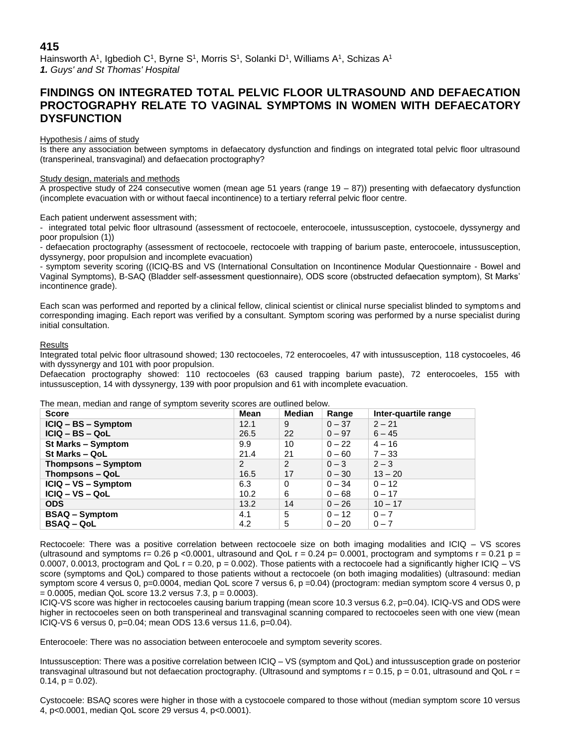# **415**

Hainsworth A1, Igbedioh C1, Byrne S1, Morris S1, Solanki D1, Williams A1, Schizas A1 *1. Guys' and St Thomas' Hospital*

# **FINDINGS ON INTEGRATED TOTAL PELVIC FLOOR ULTRASOUND AND DEFAECATION PROCTOGRAPHY RELATE TO VAGINAL SYMPTOMS IN WOMEN WITH DEFAECATORY DYSFUNCTION**

## Hypothesis / aims of study

Is there any association between symptoms in defaecatory dysfunction and findings on integrated total pelvic floor ultrasound (transperineal, transvaginal) and defaecation proctography?

#### Study design, materials and methods

A prospective study of 224 consecutive women (mean age 51 years (range  $19 - 87$ )) presenting with defaecatory dysfunction (incomplete evacuation with or without faecal incontinence) to a tertiary referral pelvic floor centre.

Each patient underwent assessment with;

- integrated total pelvic floor ultrasound (assessment of rectocoele, enterocoele, intussusception, cystocoele, dyssynergy and poor propulsion (1))

- defaecation proctography (assessment of rectocoele, rectocoele with trapping of barium paste, enterocoele, intussusception, dyssynergy, poor propulsion and incomplete evacuation)

- symptom severity scoring ((ICIQ-BS and VS (International Consultation on Incontinence Modular Questionnaire - Bowel and Vaginal Symptoms), B-SAQ (Bladder self-assessment questionnaire), ODS score (obstructed defaecation symptom), St Marks' incontinence grade).

Each scan was performed and reported by a clinical fellow, clinical scientist or clinical nurse specialist blinded to symptoms and corresponding imaging. Each report was verified by a consultant. Symptom scoring was performed by a nurse specialist during initial consultation.

### Results

Integrated total pelvic floor ultrasound showed; 130 rectocoeles, 72 enterocoeles, 47 with intussusception, 118 cystocoeles, 46 with dyssynergy and 101 with poor propulsion.

Defaecation proctography showed: 110 rectocoeles (63 caused trapping barium paste), 72 enterocoeles, 155 with intussusception, 14 with dyssynergy, 139 with poor propulsion and 61 with incomplete evacuation.

The mean, median and range of symptom severity scores are outlined below.

| <b>Score</b>          | Mean | <b>Median</b> | Range    | Inter-guartile range |
|-----------------------|------|---------------|----------|----------------------|
| ICIQ - BS - Symptom   | 12.1 | 9             | $0 - 37$ | $2 - 21$             |
| $ICIQ - BS - QoL$     | 26.5 | 22            | $0 - 97$ | $6 - 45$             |
| St Marks - Symptom    | 9.9  | 10            | $0 - 22$ | $4 - 16$             |
| St Marks - QoL        | 21.4 | 21            | $0 - 60$ | $7 - 33$             |
| Thompsons – Symptom   | 2    | 2             | $0 - 3$  | $2 - 3$              |
| Thompsons - QoL       | 16.5 | 17            | $0 - 30$ | $13 - 20$            |
| ICIQ - VS - Symptom   | 6.3  | 0             | $0 - 34$ | $0 - 12$             |
| $ICIQ - VS - QoL$     | 10.2 | 6             | $0 - 68$ | $0 - 17$             |
| <b>ODS</b>            | 13.2 | 14            | $0 - 26$ | $10 - 17$            |
| <b>BSAQ – Symptom</b> | 4.1  | 5             | $0 - 12$ | $0 - 7$              |
| <b>BSAQ – QoL</b>     | 4.2  | 5             | $0 - 20$ | $0 - 7$              |

Rectocoele: There was a positive correlation between rectocoele size on both imaging modalities and ICIQ – VS scores (ultrasound and symptoms r= 0.26 p <0.0001, ultrasound and QoL r = 0.24 p= 0.0001, proctogram and symptoms r = 0.21 p = 0.0007, 0.0013, proctogram and QoL  $r = 0.20$ ,  $p = 0.002$ ). Those patients with a rectocoele had a significantly higher ICIQ – VS score (symptoms and QoL) compared to those patients without a rectocoele (on both imaging modalities) (ultrasound: median symptom score 4 versus 0, p=0.0004, median QoL score 7 versus 6, p =0.04) (proctogram: median symptom score 4 versus 0, p  $= 0.0005$ , median QoL score 13.2 versus 7.3, p = 0.0003).

ICIQ-VS score was higher in rectocoeles causing barium trapping (mean score 10.3 versus 6.2, p=0.04). ICIQ-VS and ODS were higher in rectocoeles seen on both transperineal and transvaginal scanning compared to rectocoeles seen with one view (mean ICIQ-VS 6 versus 0, p=0.04; mean ODS 13.6 versus 11.6, p=0.04).

Enterocoele: There was no association between enterocoele and symptom severity scores.

Intussusception: There was a positive correlation between ICIQ – VS (symptom and QoL) and intussusception grade on posterior transvaginal ultrasound but not defaecation proctography. (Ultrasound and symptoms  $r = 0.15$ ,  $p = 0.01$ , ultrasound and QoL  $r =$  $0.14$ ,  $p = 0.02$ ).

Cystocoele: BSAQ scores were higher in those with a cystocoele compared to those without (median symptom score 10 versus 4, p<0.0001, median QoL score 29 versus 4, p<0.0001).